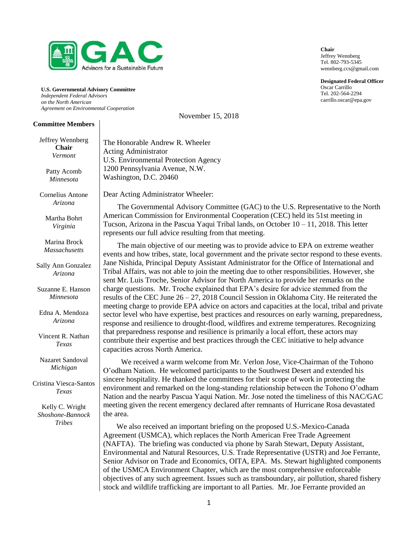

**U.S. Governmental Advisory Committee** *Independent Federal Advisors on the North American Agreement on Environmental Cooperation*

November 15, 2018

#### **Committee Members**

Jeffrey Wennberg

| Jerrey wennberg<br><b>Chair</b><br>Vermont<br>Patty Acomb<br>Minnesota | The Honorable Andrew R. Wheeler<br><b>Acting Administrator</b><br>U.S. Environmental Protection Agency<br>1200 Pennsylvania Avenue, N.W.<br>Washington, D.C. 20460                                                                                                                                                                                                                                                                                                                                               |
|------------------------------------------------------------------------|------------------------------------------------------------------------------------------------------------------------------------------------------------------------------------------------------------------------------------------------------------------------------------------------------------------------------------------------------------------------------------------------------------------------------------------------------------------------------------------------------------------|
| Cornelius Antone                                                       | Dear Acting Administrator Wheeler:                                                                                                                                                                                                                                                                                                                                                                                                                                                                               |
| Arizona<br>Martha Bohrt<br>Virginia                                    | The Governmental Advisory Committee (GAC) to the U.S. Representative to the North<br>American Commission for Environmental Cooperation (CEC) held its 51st meeting in<br>Tucson, Arizona in the Pascua Yaqui Tribal lands, on October $10 - 11$ , 2018. This letter<br>represents our full advice resulting from that meeting.                                                                                                                                                                                   |
| Marina Brock<br><b>Massachusetts</b>                                   | The main objective of our meeting was to provide advice to EPA on extreme weather<br>events and how tribes, state, local government and the private sector respond to these events.                                                                                                                                                                                                                                                                                                                              |
| Sally Ann Gonzalez<br>Arizona                                          | Jane Nishida, Principal Deputy Assistant Administrator for the Office of International and<br>Tribal Affairs, was not able to join the meeting due to other responsibilities. However, she<br>sent Mr. Luis Troche, Senior Advisor for North America to provide her remarks on the                                                                                                                                                                                                                               |
| Suzanne E. Hanson<br>Minnesota                                         | charge questions. Mr. Troche explained that EPA's desire for advice stemmed from the<br>results of the CEC June $26 - 27$ , 2018 Council Session in Oklahoma City. He reiterated the                                                                                                                                                                                                                                                                                                                             |
| Edna A. Mendoza<br>Arizona                                             | meeting charge to provide EPA advice on actors and capacities at the local, tribal and private<br>sector level who have expertise, best practices and resources on early warning, preparedness,<br>response and resilience to drought-flood, wildfires and extreme temperatures. Recognizing                                                                                                                                                                                                                     |
| Vincent R. Nathan<br>Texas                                             | that preparedness response and resilience is primarily a local effort, these actors may<br>contribute their expertise and best practices through the CEC initiative to help advance<br>capacities across North America.                                                                                                                                                                                                                                                                                          |
| Nazaret Sandoval<br>Michigan                                           | We received a warm welcome from Mr. Verlon Jose, Vice-Chairman of the Tohono<br>O'odham Nation. He welcomed participants to the Southwest Desert and extended his                                                                                                                                                                                                                                                                                                                                                |
| Cristina Viesca-Santos<br>Texas                                        | sincere hospitality. He thanked the committees for their scope of work in protecting the<br>environment and remarked on the long-standing relationship between the Tohono O'odham<br>Nation and the nearby Pascua Yaqui Nation. Mr. Jose noted the timeliness of this NAC/GAC                                                                                                                                                                                                                                    |
| Kelly C. Wright<br>Shoshone-Bannock                                    | meeting given the recent emergency declared after remnants of Hurricane Rosa devastated<br>the area.                                                                                                                                                                                                                                                                                                                                                                                                             |
| <b>Tribes</b>                                                          | We also received an important briefing on the proposed U.S.-Mexico-Canada<br>Agreement (USMCA), which replaces the North American Free Trade Agreement<br>(NAFTA). The briefing was conducted via phone by Sarah Stewart, Deputy Assistant,<br>Environmental and Natural Resources, U.S. Trade Representative (USTR) and Joe Ferrante,<br>Senior Advisor on Trade and Economics, OITA, EPA. Ms. Stewart highlighted components<br>of the USMCA Environment Chapter, which are the most comprehensive enforceable |

**Chair** Jeffrey Wennberg Tel. 802-793-5345 wennberg.ccs@gmail.com

**Designated Federal Officer** Oscar Carrillo Tel. 202-564-2294 carrillo.oscar@epa.gov

objectives of any such agreement. Issues such as transboundary, air pollution, shared fishery stock and wildlife trafficking are important to all Parties. Mr. Joe Ferrante provided an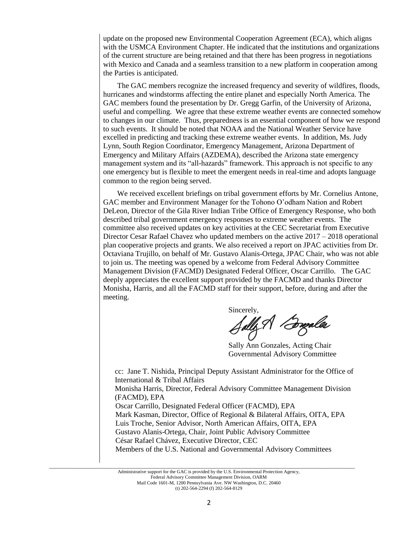update on the proposed new Environmental Cooperation Agreement (ECA), which aligns with the USMCA Environment Chapter. He indicated that the institutions and organizations of the current structure are being retained and that there has been progress in negotiations with Mexico and Canada and a seamless transition to a new platform in cooperation among the Parties is anticipated.

The GAC members recognize the increased frequency and severity of wildfires, floods, hurricanes and windstorms affecting the entire planet and especially North America. The GAC members found the presentation by Dr. Gregg Garfin, of the University of Arizona, useful and compelling. We agree that these extreme weather events are connected somehow to changes in our climate. Thus, preparedness is an essential component of how we respond to such events. It should be noted that NOAA and the National Weather Service have excelled in predicting and tracking these extreme weather events. In addition, Ms. Judy Lynn, South Region Coordinator, Emergency Management, Arizona Department of Emergency and Military Affairs (AZDEMA), described the Arizona state emergency management system and its "all-hazards" framework. This approach is not specific to any one emergency but is flexible to meet the emergent needs in real-time and adopts language common to the region being served.

We received excellent briefings on tribal government efforts by Mr. Cornelius Antone, GAC member and Environment Manager for the Tohono O'odham Nation and Robert DeLeon, Director of the Gila River Indian Tribe Office of Emergency Response, who both described tribal government emergency responses to extreme weather events. The committee also received updates on key activities at the CEC Secretariat from Executive Director Cesar Rafael Chavez who updated members on the active 2017 – 2018 operational plan cooperative projects and grants. We also received a report on JPAC activities from Dr. Octaviana Trujillo, on behalf of Mr. Gustavo Alanis-Ortega, JPAC Chair, who was not able to join us. The meeting was opened by a welcome from Federal Advisory Committee Management Division (FACMD) Designated Federal Officer, Oscar Carrillo. The GAC deeply appreciates the excellent support provided by the FACMD and thanks Director Monisha, Harris, and all the FACMD staff for their support, before, during and after the meeting.

Sincerely,<br>Sally A *Bugalle*s

Sally Ann Gonzales, Acting Chair Governmental Advisory Committee

cc: Jane T. Nishida, Principal Deputy Assistant Administrator for the Office of International & Tribal Affairs Monisha Harris, Director, Federal Advisory Committee Management Division (FACMD), EPA Oscar Carrillo, Designated Federal Officer (FACMD), EPA Mark Kasman, Director, Office of Regional & Bilateral Affairs, OITA, EPA Luis Troche, Senior Advisor, North American Affairs, OITA, EPA Gustavo Alanis-Ortega, Chair, Joint Public Advisory Committee César Rafael Chávez, Executive Director, CEC Members of the U.S. National and Governmental Advisory Committees

Administrative support for the GAC is provided by the U.S. Environmental Protection Agency, Federal Advisory Committee Management Division, OARM Mail Code 1601-M, 1200 Pennsylvania Ave. NW Washington, D.C. 20460 (t) 202-564-2294 (f) 202-564-8129

 $\_$  ,  $\_$  ,  $\_$  ,  $\_$  ,  $\_$  ,  $\_$  ,  $\_$  ,  $\_$  ,  $\_$  ,  $\_$  ,  $\_$  ,  $\_$  ,  $\_$  ,  $\_$  ,  $\_$  ,  $\_$  ,  $\_$  ,  $\_$  ,  $\_$  ,  $\_$  ,  $\_$  ,  $\_$  ,  $\_$  ,  $\_$  ,  $\_$  ,  $\_$  ,  $\_$  ,  $\_$  ,  $\_$  ,  $\_$  ,  $\_$  ,  $\_$  ,  $\_$  ,  $\_$  ,  $\_$  ,  $\_$  ,  $\_$  ,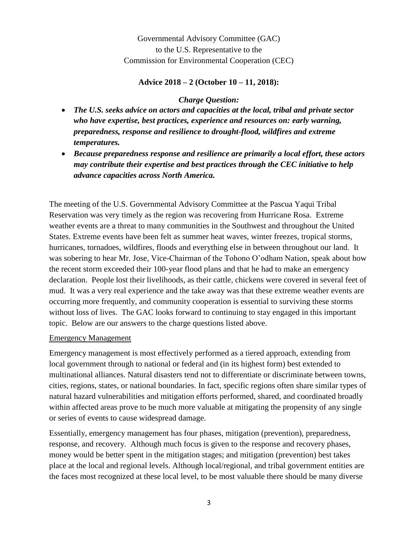Governmental Advisory Committee (GAC) to the U.S. Representative to the Commission for Environmental Cooperation (CEC)

### **Advice 2018 – 2 (October 10 – 11, 2018):**

### *Charge Question:*

- *The U.S. seeks advice on actors and capacities at the local, tribal and private sector who have expertise, best practices, experience and resources on: early warning, preparedness, response and resilience to drought-flood, wildfires and extreme temperatures.*
- *Because preparedness response and resilience are primarily a local effort, these actors may contribute their expertise and best practices through the CEC initiative to help advance capacities across North America.*

The meeting of the U.S. Governmental Advisory Committee at the Pascua Yaqui Tribal Reservation was very timely as the region was recovering from Hurricane Rosa. Extreme weather events are a threat to many communities in the Southwest and throughout the United States. Extreme events have been felt as summer heat waves, winter freezes, tropical storms, hurricanes, tornadoes, wildfires, floods and everything else in between throughout our land. It was sobering to hear Mr. Jose, Vice-Chairman of the Tohono O'odham Nation, speak about how the recent storm exceeded their 100-year flood plans and that he had to make an emergency declaration. People lost their livelihoods, as their cattle, chickens were covered in several feet of mud. It was a very real experience and the take away was that these extreme weather events are occurring more frequently, and community cooperation is essential to surviving these storms without loss of lives. The GAC looks forward to continuing to stay engaged in this important topic. Below are our answers to the charge questions listed above.

### Emergency Management

Emergency management is most effectively performed as a tiered approach, extending from local government through to national or federal and (in its highest form) best extended to multinational alliances. Natural disasters tend not to differentiate or discriminate between towns, cities, regions, states, or national boundaries. In fact, specific regions often share similar types of natural hazard vulnerabilities and mitigation efforts performed, shared, and coordinated broadly within affected areas prove to be much more valuable at mitigating the propensity of any single or series of events to cause widespread damage.

Essentially, emergency management has four phases, mitigation (prevention), preparedness, response, and recovery. Although much focus is given to the response and recovery phases, money would be better spent in the mitigation stages; and mitigation (prevention) best takes place at the local and regional levels. Although local/regional, and tribal government entities are the faces most recognized at these local level, to be most valuable there should be many diverse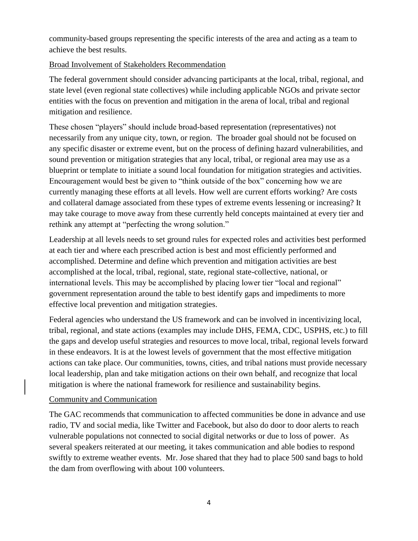community-based groups representing the specific interests of the area and acting as a team to achieve the best results.

# Broad Involvement of Stakeholders Recommendation

The federal government should consider advancing participants at the local, tribal, regional, and state level (even regional state collectives) while including applicable NGOs and private sector entities with the focus on prevention and mitigation in the arena of local, tribal and regional mitigation and resilience.

These chosen "players" should include broad-based representation (representatives) not necessarily from any unique city, town, or region. The broader goal should not be focused on any specific disaster or extreme event, but on the process of defining hazard vulnerabilities, and sound prevention or mitigation strategies that any local, tribal, or regional area may use as a blueprint or template to initiate a sound local foundation for mitigation strategies and activities. Encouragement would best be given to "think outside of the box" concerning how we are currently managing these efforts at all levels. How well are current efforts working? Are costs and collateral damage associated from these types of extreme events lessening or increasing? It may take courage to move away from these currently held concepts maintained at every tier and rethink any attempt at "perfecting the wrong solution."

Leadership at all levels needs to set ground rules for expected roles and activities best performed at each tier and where each prescribed action is best and most efficiently performed and accomplished. Determine and define which prevention and mitigation activities are best accomplished at the local, tribal, regional, state, regional state-collective, national, or international levels. This may be accomplished by placing lower tier "local and regional" government representation around the table to best identify gaps and impediments to more effective local prevention and mitigation strategies.

Federal agencies who understand the US framework and can be involved in incentivizing local, tribal, regional, and state actions (examples may include DHS, FEMA, CDC, USPHS, etc.) to fill the gaps and develop useful strategies and resources to move local, tribal, regional levels forward in these endeavors. It is at the lowest levels of government that the most effective mitigation actions can take place. Our communities, towns, cities, and tribal nations must provide necessary local leadership, plan and take mitigation actions on their own behalf, and recognize that local mitigation is where the national framework for resilience and sustainability begins.

## Community and Communication

The GAC recommends that communication to affected communities be done in advance and use radio, TV and social media, like Twitter and Facebook, but also do door to door alerts to reach vulnerable populations not connected to social digital networks or due to loss of power. As several speakers reiterated at our meeting, it takes communication and able bodies to respond swiftly to extreme weather events. Mr. Jose shared that they had to place 500 sand bags to hold the dam from overflowing with about 100 volunteers.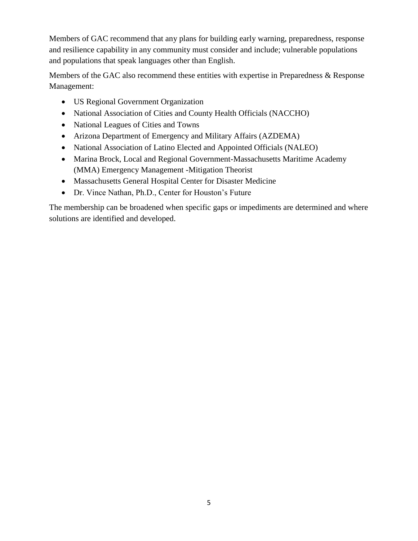Members of GAC recommend that any plans for building early warning, preparedness, response and resilience capability in any community must consider and include; vulnerable populations and populations that speak languages other than English.

Members of the GAC also recommend these entities with expertise in Preparedness & Response Management:

- US Regional Government Organization
- National Association of Cities and County Health Officials (NACCHO)
- National Leagues of Cities and Towns
- Arizona Department of Emergency and Military Affairs (AZDEMA)
- National Association of Latino Elected and Appointed Officials (NALEO)
- Marina Brock, Local and Regional Government-Massachusetts Maritime Academy (MMA) Emergency Management -Mitigation Theorist
- Massachusetts General Hospital Center for Disaster Medicine
- Dr. Vince Nathan, Ph.D., Center for Houston's Future

The membership can be broadened when specific gaps or impediments are determined and where solutions are identified and developed.